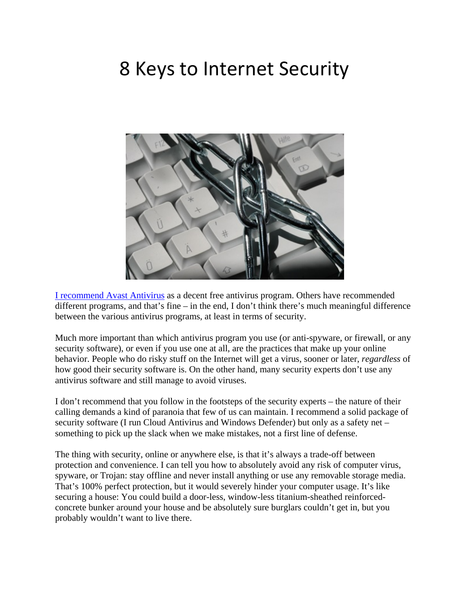# 8 Keys to Internet Security



[I recommend Avast Antivirus](http://www.avast.com/free-antivirus-download) as a decent free antivirus program. Others have recommended different programs, and that's fine – in the end, I don't think there's much meaningful difference between the various antivirus programs, at least in terms of security.

Much more important than which antivirus program you use (or anti-spyware, or firewall, or any security software), or even if you use one at all, are the practices that make up your online behavior. People who do risky stuff on the Internet will get a virus, sooner or later, *regardless* of how good their security software is. On the other hand, many security experts don't use any antivirus software and still manage to avoid viruses.

I don't recommend that you follow in the footsteps of the security experts – the nature of their calling demands a kind of paranoia that few of us can maintain. I recommend a solid package of security software (I run Cloud Antivirus and Windows Defender) but only as a safety net – something to pick up the slack when we make mistakes, not a first line of defense.

The thing with security, online or anywhere else, is that it's always a trade-off between protection and convenience. I can tell you how to absolutely avoid any risk of computer virus, spyware, or Trojan: stay offline and never install anything or use any removable storage media. That's 100% perfect protection, but it would severely hinder your computer usage. It's like securing a house: You could build a door-less, window-less titanium-sheathed reinforcedconcrete bunker around your house and be absolutely sure burglars couldn't get in, but you probably wouldn't want to live there.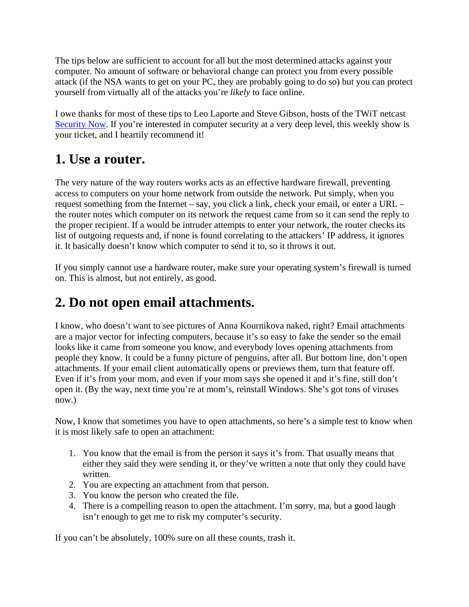The tips below are sufficient to account for all but the most determined attacks against your computer. No amount of software or behavioral change can protect you from every possible attack (if the NSA wants to get on your PC, they are probably going to do so) but you can protect yourself from virtually all of the attacks you're *likely* to face online.

I owe thanks for most of these tips to Leo Laporte and Steve Gibson, hosts of the TWiT netcast [Security Now](http://www.grc.com/securitynow.htm). If you're interested in computer security at a very deep level, this weekly show is your ticket, and I heartily recommend it!

#### **1. Use a router.**

The very nature of the way routers works acts as an effective hardware firewall, preventing access to computers on your home network from outside the network. Put simply, when you request something from the Internet – say, you click a link, check your email, or enter a URL – the router notes which computer on its network the request came from so it can send the reply to the proper recipient. If a would be intruder attempts to enter your network, the router checks its list of outgoing requests and, if none is found correlating to the attackers' IP address, it ignores it. It basically doesn't know which computer to send it to, so it throws it out.

If you simply cannot use a hardware router, make sure your operating system's firewall is turned on. This is almost, but not entirely, as good.

## **2. Do not open email attachments.**

I know, who doesn't want to see pictures of Anna Kournikova naked, right? Email attachments are a major vector for infecting computers, because it's so easy to fake the sender so the email looks like it came from someone you know, and everybody loves opening attachments from people they know. It could be a funny picture of penguins, after all. But bottom line, don't open attachments. If your email client automatically opens or previews them, turn that feature off. Even if it's from your mom, and even if your mom says she opened it and it's fine, still don't open it. (By the way, next time you're at mom's, reinstall Windows. She's got tons of viruses now.)

Now, I know that sometimes you have to open attachments, so here's a simple test to know when it is most likely safe to open an attachment:

- 1. You know that the email is from the person it says it's from. That usually means that either they said they were sending it, or they've written a note that only they could have written.
- 2. You are expecting an attachment from that person.
- 3. You know the person who created the file.
- 4. There is a compelling reason to open the attachment. I'm sorry, ma, but a good laugh isn't enough to get me to risk my computer's security.

If you can't be absolutely, 100% sure on all these counts, trash it.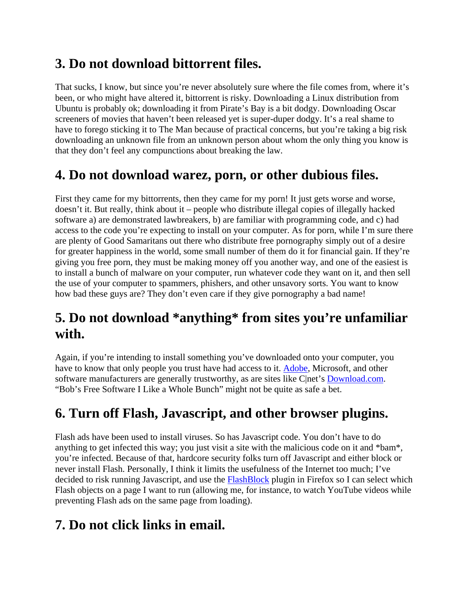### **3. Do not download bittorrent files.**

That sucks, I know, but since you're never absolutely sure where the file comes from, where it's been, or who might have altered it, bittorrent is risky. Downloading a Linux distribution from Ubuntu is probably ok; downloading it from Pirate's Bay is a bit dodgy. Downloading Oscar screeners of movies that haven't been released yet is super-duper dodgy. It's a real shame to have to forego sticking it to The Man because of practical concerns, but you're taking a big risk downloading an unknown file from an unknown person about whom the only thing you know is that they don't feel any compunctions about breaking the law.

#### **4. Do not download warez, porn, or other dubious files.**

First they came for my bittorrents, then they came for my porn! It just gets worse and worse, doesn't it. But really, think about it – people who distribute illegal copies of illegally hacked software a) are demonstrated lawbreakers, b) are familiar with programming code, and c) had access to the code you're expecting to install on your computer. As for porn, while I'm sure there are plenty of Good Samaritans out there who distribute free pornography simply out of a desire for greater happiness in the world, some small number of them do it for financial gain. If they're giving you free porn, they must be making money off you another way, and one of the easiest is to install a bunch of malware on your computer, run whatever code they want on it, and then sell the use of your computer to spammers, phishers, and other unsavory sorts. You want to know how bad these guys are? They don't even care if they give pornography a bad name!

#### **5. Do not download \*anything\* from sites you're unfamiliar with.**

Again, if you're intending to install something you've downloaded onto your computer, you have to know that only people you trust have had access to it. [Adobe,](http://www.adobe.com/) Microsoft, and other software manufacturers are generally trustworthy, as are sites like C|net's **Download.com.** "Bob's Free Software I Like a Whole Bunch" might not be quite as safe a bet.

### **6. Turn off Flash, Javascript, and other browser plugins.**

Flash ads have been used to install viruses. So has Javascript code. You don't have to do anything to get infected this way; you just visit a site with the malicious code on it and \*bam\*, you're infected. Because of that, hardcore security folks turn off Javascript and either block or never install Flash. Personally, I think it limits the usefulness of the Internet too much; I've decided to risk running Javascript, and use the [FlashBlock](http://flashblock.mozdev.org/) plugin in Firefox so I can select which Flash objects on a page I want to run (allowing me, for instance, to watch YouTube videos while preventing Flash ads on the same page from loading).

#### **7. Do not click links in email.**